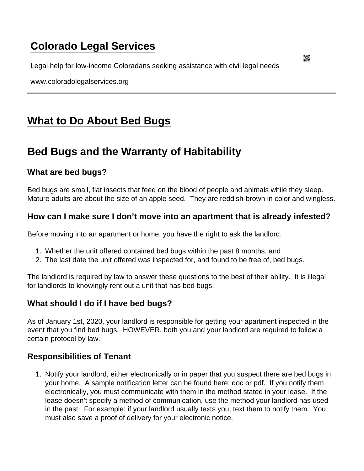# [Colorado Legal Services](https://www.coloradolegalservices.org/)

Legal help for low-income Coloradans seeking assistance with civil legal needs

www.coloradolegalservices.org

# [What to Do About Bed Bugs](https://www.coloradolegalservices.org/node/77/what-do-about-bed-bugs)

## Bed Bugs and the Warranty of Habitability

## What are bed bugs?

Bed bugs are small, flat insects that feed on the blood of people and animals while they sleep. Mature adults are about the size of an apple seed. They are reddish-brown in color and wingless.

How can I make sure I don't move into an apartment that is already infested?

Before moving into an apartment or home, you have the right to ask the landlord:

- 1. Whether the unit offered contained bed bugs within the past 8 months, and
- 2. The last date the unit offered was inspected for, and found to be free of, bed bugs.

The landlord is required by law to answer these questions to the best of their ability. It is illegal for landlords to knowingly rent out a unit that has bed bugs.

#### What should I do if I have bed bugs?

As of January 1st, 2020, your landlord is responsible for getting your apartment inspected in the event that you find bed bugs. HOWEVER, both you and your landlord are required to follow a certain protocol by law.

#### Responsibilities of Tenant

1. Notify your landlord, either electronically or in paper that you suspect there are bed bugs in your home. A sample notification letter can be found here: [doc](https://clswebsite.s3.us-west-1.amazonaws.com/Bed+Bug+Notification+Letter.docx) or [pdf.](https://clswebsite.s3.us-west-1.amazonaws.com/Bed+Bug+Notification+Letter.pdf) If you notify them electronically, you must communicate with them in the method stated in your lease. If the lease doesn't specify a method of communication, use the method your landlord has used in the past. For example: if your landlord usually texts you, text them to notify them. You must also save a proof of delivery for your electronic notice.